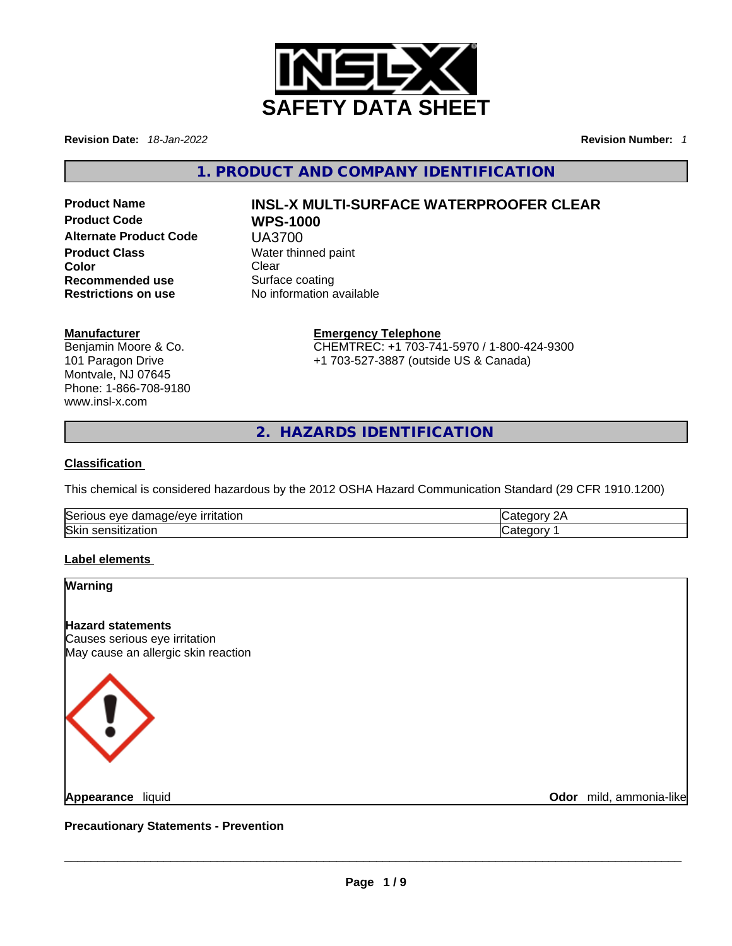

**Revision Date:** *18-Jan-2022* **Revision Number:** *1*

**1. PRODUCT AND COMPANY IDENTIFICATION** 

**Alternate Product Code** UA3700 **Product Class Water thinned paint Color Clear Recommended use Surface coating Restrictions on use** No information available

# **Product Name INSL-X MULTI-SURFACE WATERPROOFER CLEAR Product Code WPS-1000**

#### **Manufacturer**

Benjamin Moore & Co. 101 Paragon Drive Montvale, NJ 07645 Phone: 1-866-708-9180 www.insl-x.com

#### **Emergency Telephone** CHEMTREC: +1 703-741-5970 / 1-800-424-9300 +1 703-527-3887 (outside US & Canada)

**2. HAZARDS IDENTIFICATION** 

#### **Classification**

This chemical is considered hazardous by the 2012 OSHA Hazard Communication Standard (29 CFR 1910.1200)

| Serious<br>eve<br>$\cdots$<br>۱۵۱/۵<br>, irritation<br>uade/1<br>Jdl | . C 1 L |
|----------------------------------------------------------------------|---------|
| Skin<br>$-0.1$<br>sensitization                                      | ∩∩r     |

#### **Label elements**

#### **Warning**

**Hazard statements** Causes serious eye irritation May cause an allergic skin reaction



**Odor** mild, ammonia-like

**Precautionary Statements - Prevention Appearance** liquid \_\_\_\_\_\_\_\_\_\_\_\_\_\_\_\_\_\_\_\_\_\_\_\_\_\_\_\_\_\_\_\_\_\_\_\_\_\_\_\_\_\_\_\_\_\_\_\_\_\_\_\_\_\_\_\_\_\_\_\_\_\_\_\_\_\_\_\_\_\_\_\_\_\_\_\_\_\_\_\_\_\_\_\_\_\_\_\_\_\_\_\_\_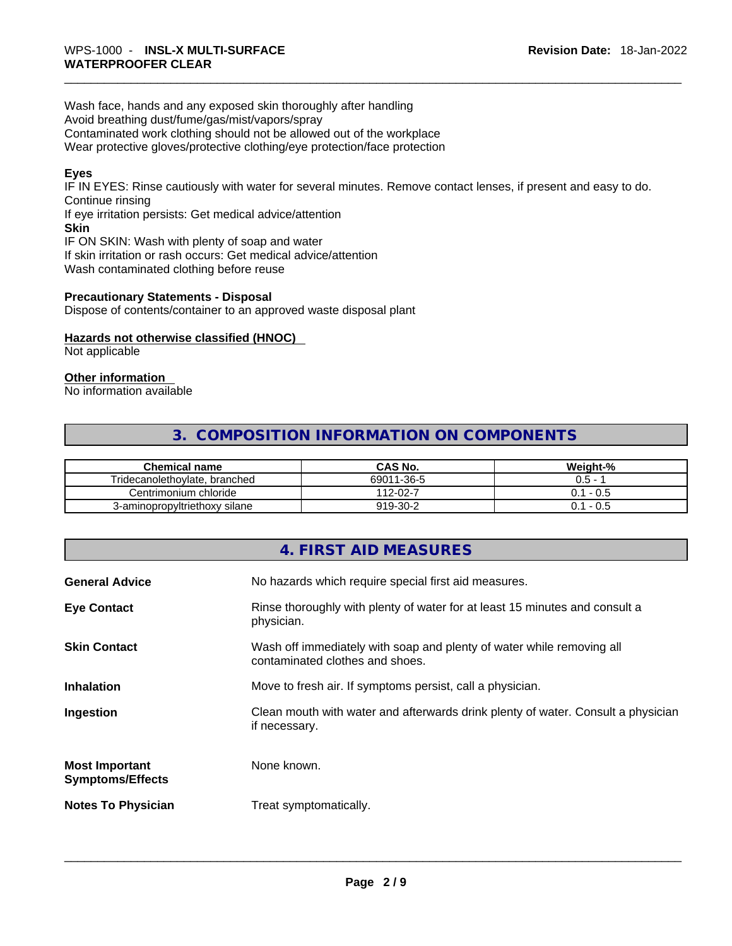Wash face, hands and any exposed skin thoroughly after handling Avoid breathing dust/fume/gas/mist/vapors/spray Contaminated work clothing should not be allowed out of the workplace Wear protective gloves/protective clothing/eye protection/face protection

### **Eyes**

IF IN EYES: Rinse cautiously with water for several minutes. Remove contact lenses, if present and easy to do. Continue rinsing

If eye irritation persists: Get medical advice/attention **Skin**

IF ON SKIN: Wash with plenty of soap and water If skin irritation or rash occurs: Get medical advice/attention Wash contaminated clothing before reuse

#### **Precautionary Statements - Disposal**

Dispose of contents/container to an approved waste disposal plant

#### **Hazards not otherwise classified (HNOC)**

Not applicable

#### **Other information**

No information available

# **3. COMPOSITION INFORMATION ON COMPONENTS**

| <b>Chemical name</b>          | CAS No.    | Weight-%  |
|-------------------------------|------------|-----------|
| Tridecanolethoylate, branched | 69011-36-5 | $0.5 -$   |
| Centrimonium chloride         | 112-02-7   | 0.1 - 0.5 |
| 3-aminopropyltriethoxy silane | 919-30-2   | 0.1 - 0.5 |

# **4. FIRST AID MEASURES**

| <b>General Advice</b>                            | No hazards which require special first aid measures.                                                     |
|--------------------------------------------------|----------------------------------------------------------------------------------------------------------|
| <b>Eye Contact</b>                               | Rinse thoroughly with plenty of water for at least 15 minutes and consult a<br>physician.                |
| <b>Skin Contact</b>                              | Wash off immediately with soap and plenty of water while removing all<br>contaminated clothes and shoes. |
| <b>Inhalation</b>                                | Move to fresh air. If symptoms persist, call a physician.                                                |
| Ingestion                                        | Clean mouth with water and afterwards drink plenty of water. Consult a physician<br>if necessary.        |
| <b>Most Important</b><br><b>Symptoms/Effects</b> | None known.                                                                                              |
| <b>Notes To Physician</b>                        | Treat symptomatically.                                                                                   |
|                                                  |                                                                                                          |
|                                                  |                                                                                                          |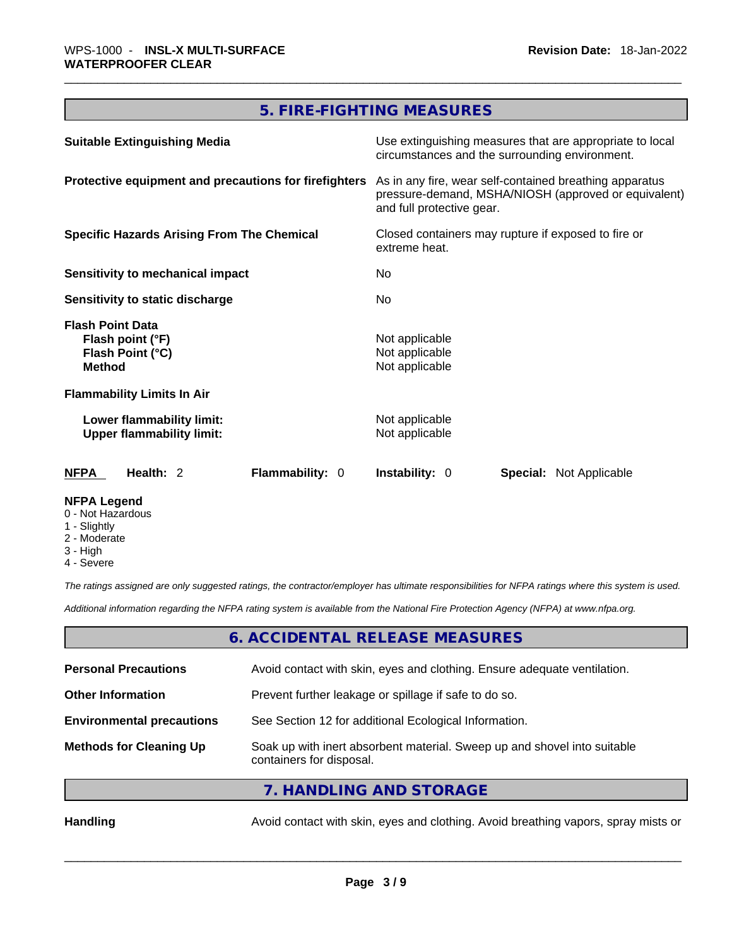# **5. FIRE-FIGHTING MEASURES**

| <b>Suitable Extinguishing Media</b>                                              | Use extinguishing measures that are appropriate to local<br>circumstances and the surrounding environment.                                   |
|----------------------------------------------------------------------------------|----------------------------------------------------------------------------------------------------------------------------------------------|
| Protective equipment and precautions for firefighters                            | As in any fire, wear self-contained breathing apparatus<br>pressure-demand, MSHA/NIOSH (approved or equivalent)<br>and full protective gear. |
| <b>Specific Hazards Arising From The Chemical</b>                                | Closed containers may rupture if exposed to fire or<br>extreme heat.                                                                         |
| Sensitivity to mechanical impact                                                 | No.                                                                                                                                          |
| Sensitivity to static discharge                                                  | No.                                                                                                                                          |
| <b>Flash Point Data</b><br>Flash point (°F)<br>Flash Point (°C)<br><b>Method</b> | Not applicable<br>Not applicable<br>Not applicable                                                                                           |
| <b>Flammability Limits In Air</b>                                                |                                                                                                                                              |
| Lower flammability limit:<br><b>Upper flammability limit:</b>                    | Not applicable<br>Not applicable                                                                                                             |
| <b>NFPA</b><br>Health: 2<br><b>Flammability: 0</b>                               | <b>Instability: 0</b><br><b>Special: Not Applicable</b>                                                                                      |
| <b>NFPA Legend</b>                                                               |                                                                                                                                              |

- 0 Not Hazardous
- 1 Slightly
- 2 Moderate
- 3 High
- 4 Severe

*The ratings assigned are only suggested ratings, the contractor/employer has ultimate responsibilities for NFPA ratings where this system is used.* 

*Additional information regarding the NFPA rating system is available from the National Fire Protection Agency (NFPA) at www.nfpa.org.* 

# **6. ACCIDENTAL RELEASE MEASURES**

| <b>Personal Precautions</b>      | Avoid contact with skin, eyes and clothing. Ensure adequate ventilation.                             |  |
|----------------------------------|------------------------------------------------------------------------------------------------------|--|
| <b>Other Information</b>         | Prevent further leakage or spillage if safe to do so.                                                |  |
| <b>Environmental precautions</b> | See Section 12 for additional Ecological Information.                                                |  |
| <b>Methods for Cleaning Up</b>   | Soak up with inert absorbent material. Sweep up and shovel into suitable<br>containers for disposal. |  |
|                                  | 7. HANDLING AND STORAGE                                                                              |  |

Handling **Handling Avoid contact with skin, eyes and clothing. Avoid breathing vapors, spray mists or**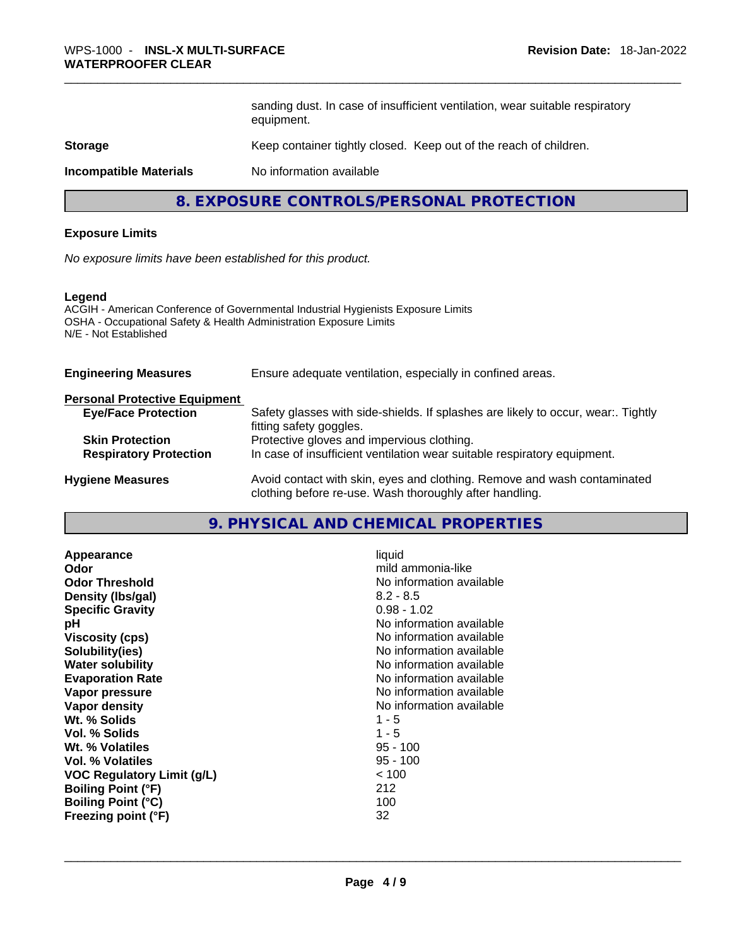sanding dust. In case of insufficient ventilation, wear suitable respiratory equipment. **8. EXPOSURE CONTROLS/PERSONAL PROTECTION**<br> **8. EXPOSURE CONTROLS/PERSONAL PROTECTION**<br> **8. EXPOSURE CONTROLS/PERSONAL PROTECTION**<br> **8. EXPOSURE CONTROLS/PERSONAL PROTECTION** 

## **Storage Storage Keep container tightly closed. Keep out of the reach of children.**

**Incompatible Materials** No information available

#### **Exposure Limits**

*No exposure limits have been established for this product.* 

#### **Legend**

ACGIH - American Conference of Governmental Industrial Hygienists Exposure Limits OSHA - Occupational Safety & Health Administration Exposure Limits N/E - Not Established

| OSHA - Occupational Safety & Health Administration Exposure Limits<br>N/E - Not Established | ACGIH - American Conference of Governmental Industrial Hygienists Exposure Limits                                                   |
|---------------------------------------------------------------------------------------------|-------------------------------------------------------------------------------------------------------------------------------------|
| <b>Engineering Measures</b>                                                                 | Ensure adequate ventilation, especially in confined areas.                                                                          |
| <b>Personal Protective Equipment</b>                                                        |                                                                                                                                     |
| <b>Eye/Face Protection</b>                                                                  | Safety glasses with side-shields. If splashes are likely to occur, wear:. Tightly<br>fitting safety goggles.                        |
| <b>Skin Protection</b>                                                                      | Protective gloves and impervious clothing.                                                                                          |
| <b>Respiratory Protection</b>                                                               | In case of insufficient ventilation wear suitable respiratory equipment.                                                            |
| <b>Hygiene Measures</b>                                                                     | Avoid contact with skin, eyes and clothing. Remove and wash contaminated<br>clothing before re-use. Wash thoroughly after handling. |
|                                                                                             | 9. PHYSICAL AND CHEMICAL PROPERTIES                                                                                                 |
| Appearance<br>Odor<br><b>Odor Threshold</b>                                                 | liquid<br>mild ammonia-like<br>No information available                                                                             |

| Appearance                 | liquid                   |
|----------------------------|--------------------------|
| Odor                       | mild ammonia-like        |
| <b>Odor Threshold</b>      | No information available |
| Density (Ibs/gal)          | $8.2 - 8.5$              |
| <b>Specific Gravity</b>    | $0.98 - 1.02$            |
| рH                         | No information available |
| <b>Viscosity (cps)</b>     | No information available |
| Solubility(ies)            | No information available |
| <b>Water solubility</b>    | No information available |
| <b>Evaporation Rate</b>    | No information available |
| Vapor pressure             | No information available |
| Vapor density              | No information available |
| Wt. % Solids               | $1 - 5$                  |
| Vol. % Solids              | $1 - 5$                  |
| Wt. % Volatiles            | $95 - 100$               |
| Vol. % Volatiles           | $95 - 100$               |
| VOC Regulatory Limit (g/L) | < 100                    |
| <b>Boiling Point (°F)</b>  | 212                      |
| <b>Boiling Point (°C)</b>  | 100                      |
| Freezing point (°F)        | 32                       |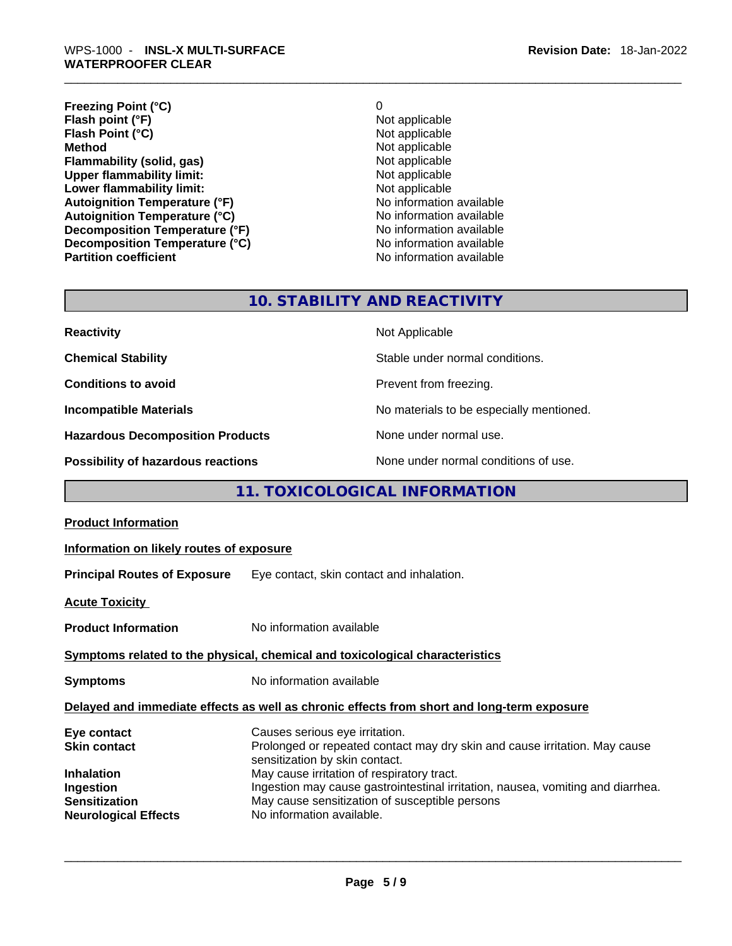**Freezing Point (°C)**<br> **Flash point (°F)**<br> **Flash point (°F)**<br> **Point (°F)**<br> **Point (°F)**<br> **Point (°F)**<br> **Point (°F)**<br> **Point (°F) Flash point (°F)**<br> **Flash Point (°C)**<br> **Flash Point (°C)**<br> **Not** applicable **Flash Point (°C)**<br>Method **Flammability (solid, gas)** Not applicable Upper flammability limit:<br>
Not applicable Not applicable **Upper flammability limit:**<br> **Lower flammability limit:**<br>
Not applicable<br>
Not applicable **Lower flammability limit:**<br> **Autoianition Temperature (°F)**<br>
Mo information available **Autoignition Temperature (°F)**<br> **Autoignition Temperature (°C)** No information available Autoignition Temperature (°C)<br>
Decomposition Temperature (°F)<br>
No information available **Decomposition Temperature (°F) Decomposition Temperature (°C)** No information available

**Not applicable No information available** 

# **10. STABILITY AND REACTIVITY**

| <b>Reactivity</b>                       | Not Applicable                           |
|-----------------------------------------|------------------------------------------|
| <b>Chemical Stability</b>               | Stable under normal conditions.          |
| <b>Conditions to avoid</b>              | Prevent from freezing.                   |
| <b>Incompatible Materials</b>           | No materials to be especially mentioned. |
| <b>Hazardous Decomposition Products</b> | None under normal use.                   |
| Possibility of hazardous reactions      | None under normal conditions of use.     |

# **11. TOXICOLOGICAL INFORMATION**

| <b>Product Information</b>                                       |                                                                                                                                                                                              |
|------------------------------------------------------------------|----------------------------------------------------------------------------------------------------------------------------------------------------------------------------------------------|
| Information on likely routes of exposure                         |                                                                                                                                                                                              |
| <b>Principal Routes of Exposure</b>                              | Eye contact, skin contact and inhalation.                                                                                                                                                    |
| <b>Acute Toxicity</b>                                            |                                                                                                                                                                                              |
| <b>Product Information</b>                                       | No information available                                                                                                                                                                     |
|                                                                  | Symptoms related to the physical, chemical and toxicological characteristics                                                                                                                 |
| <b>Symptoms</b>                                                  | No information available                                                                                                                                                                     |
|                                                                  | Delayed and immediate effects as well as chronic effects from short and long-term exposure                                                                                                   |
| Eye contact<br><b>Skin contact</b><br><b>Inhalation</b>          | Causes serious eye irritation.<br>Prolonged or repeated contact may dry skin and cause irritation. May cause<br>sensitization by skin contact.<br>May cause irritation of respiratory tract. |
| Ingestion<br><b>Sensitization</b><br><b>Neurological Effects</b> | Ingestion may cause gastrointestinal irritation, nausea, vomiting and diarrhea.<br>May cause sensitization of susceptible persons<br>No information available.                               |
|                                                                  |                                                                                                                                                                                              |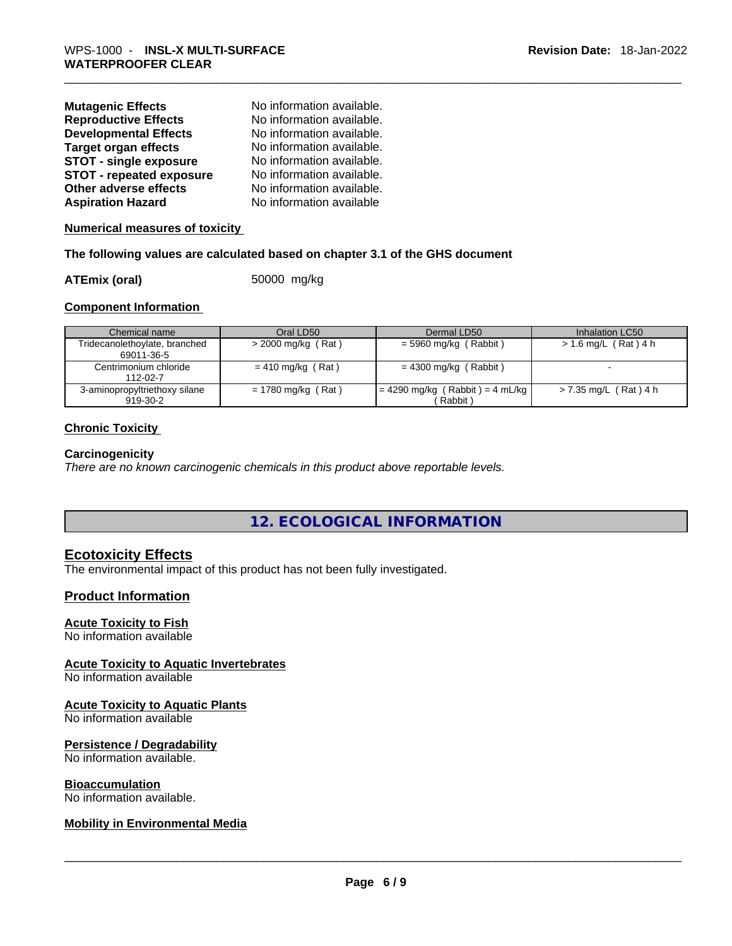| <b>Mutagenic Effects</b>        | No information available. |
|---------------------------------|---------------------------|
| <b>Reproductive Effects</b>     | No information available. |
| <b>Developmental Effects</b>    | No information available. |
| <b>Target organ effects</b>     | No information available. |
| <b>STOT - single exposure</b>   | No information available. |
| <b>STOT - repeated exposure</b> | No information available. |
| Other adverse effects           | No information available. |
| <b>Aspiration Hazard</b>        | No information available  |

**Numerical measures of toxicity**

#### **The following values are calculated based on chapter 3.1 of the GHS document**

**ATEmix (oral)** 50000 mg/kg

#### **Component Information**

| Chemical name                               | Oral LD50            | Dermal LD50                                    | Inhalation LC50        |
|---------------------------------------------|----------------------|------------------------------------------------|------------------------|
| Tridecanolethoylate, branched<br>69011-36-5 | $>$ 2000 mg/kg (Rat) | = 5960 mg/kg (Rabbit)                          | $> 1.6$ mg/L (Rat) 4 h |
| Centrimonium chloride<br>$112 - 02 - 7$     | $= 410$ mg/kg (Rat)  | $= 4300$ mg/kg (Rabbit)                        |                        |
| 3-aminopropyltriethoxy silane<br>919-30-2   | $= 1780$ mg/kg (Rat) | = 4290 mg/kg ( Rabbit ) = 4 mL/kg  <br>Rabbit) | > 7.35 mg/L (Rat) 4 h  |

#### **Chronic Toxicity**

#### **Carcinogenicity**

*There are no known carcinogenic chemicals in this product above reportable levels.* 

**12. ECOLOGICAL INFORMATION** 

#### **Ecotoxicity Effects**

The environmental impact of this product has not been fully investigated.

#### **Product Information**

#### **Acute Toxicity to Fish**

No information available

#### **Acute Toxicity to Aquatic Invertebrates**

No information available

#### **Acute Toxicity to Aquatic Plants**

No information available

#### **Persistence / Degradability**

No information available.

#### **Bioaccumulation**

# No information available. \_\_\_\_\_\_\_\_\_\_\_\_\_\_\_\_\_\_\_\_\_\_\_\_\_\_\_\_\_\_\_\_\_\_\_\_\_\_\_\_\_\_\_\_\_\_\_\_\_\_\_\_\_\_\_\_\_\_\_\_\_\_\_\_\_\_\_\_\_\_\_\_\_\_\_\_\_\_\_\_\_\_\_\_\_\_\_\_\_\_\_\_\_ **Mobility in Environmental Media**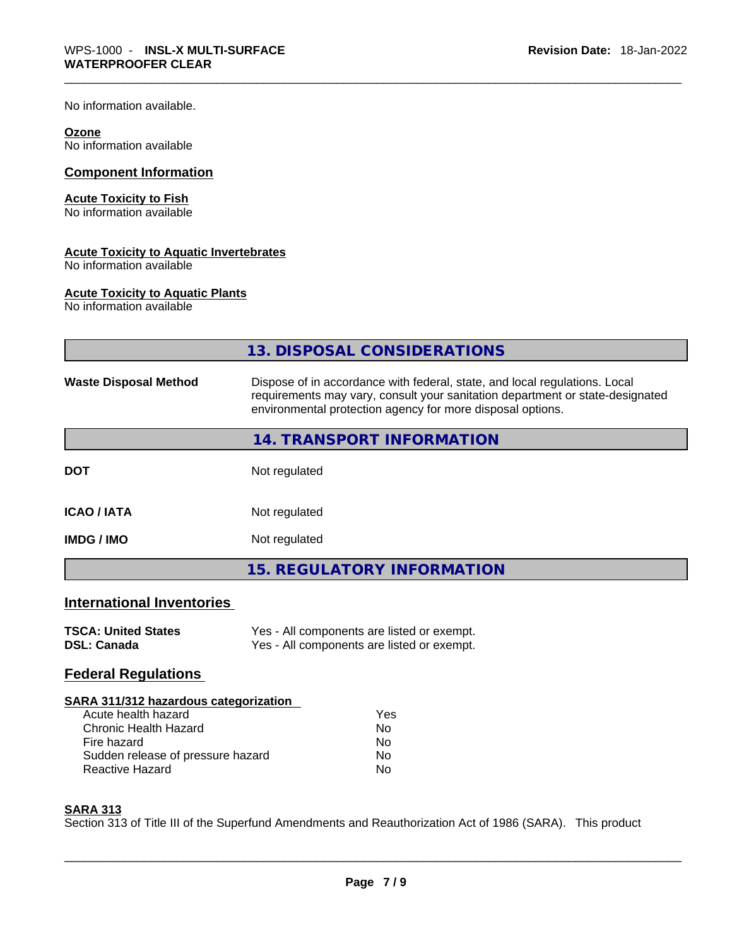No information available.

#### **Ozone**

No information available

#### **Component Information**

#### **Acute Toxicity to Fish**

No information available

#### **Acute Toxicity to Aquatic Invertebrates**

No information available

#### **Acute Toxicity to Aquatic Plants**

No information available

|                                                                                                                                                                            | 13. DISPOSAL CONSIDERATIONS                                                                                                                                                                                               |
|----------------------------------------------------------------------------------------------------------------------------------------------------------------------------|---------------------------------------------------------------------------------------------------------------------------------------------------------------------------------------------------------------------------|
| <b>Waste Disposal Method</b>                                                                                                                                               | Dispose of in accordance with federal, state, and local regulations. Local<br>requirements may vary, consult your sanitation department or state-designated<br>environmental protection agency for more disposal options. |
|                                                                                                                                                                            | 14. TRANSPORT INFORMATION                                                                                                                                                                                                 |
| <b>DOT</b>                                                                                                                                                                 | Not regulated                                                                                                                                                                                                             |
| <b>ICAO/IATA</b>                                                                                                                                                           | Not regulated                                                                                                                                                                                                             |
| <b>IMDG/IMO</b>                                                                                                                                                            | Not regulated                                                                                                                                                                                                             |
|                                                                                                                                                                            | <b>15. REGULATORY INFORMATION</b>                                                                                                                                                                                         |
| <b>International Inventories</b>                                                                                                                                           |                                                                                                                                                                                                                           |
| <b>TSCA: United States</b><br><b>DSL: Canada</b>                                                                                                                           | Yes - All components are listed or exempt.<br>Yes - All components are listed or exempt.                                                                                                                                  |
| <b>Federal Regulations</b>                                                                                                                                                 |                                                                                                                                                                                                                           |
| SARA 311/312 hazardous categorization<br>Acute health hazard<br><b>Chronic Health Hazard</b><br>Fire hazard<br>Sudden release of pressure hazard<br><b>Reactive Hazard</b> | Yes<br>No.<br>No.<br>No<br>No                                                                                                                                                                                             |

#### **SARA 313**

Section 313 of Title III of the Superfund Amendments and Reauthorization Act of 1986 (SARA). This product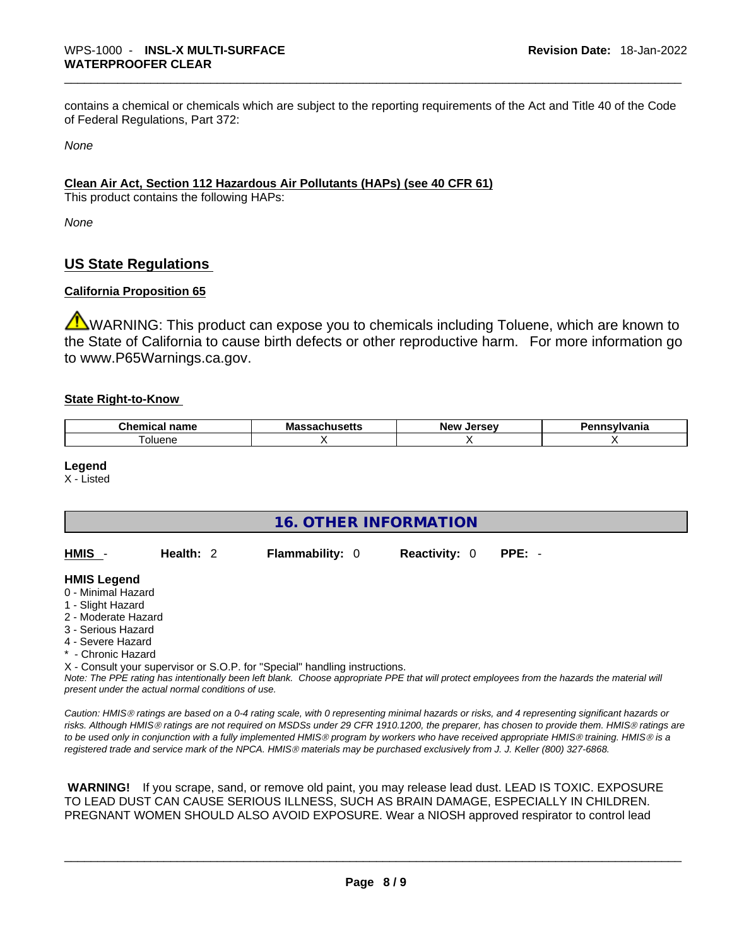contains a chemical or chemicals which are subject to the reporting requirements of the Act and Title 40 of the Code of Federal Regulations, Part 372:

*None*

#### **Clean Air Act,Section 112 Hazardous Air Pollutants (HAPs) (see 40 CFR 61)**

This product contains the following HAPs:

*None*

# **US State Regulations**

#### **California Proposition 65**

WARNING: This product can expose you to chemicals including Toluene, which are known to the State of California to cause birth defects or other reproductive harm. For more information go to www.P65Warnings.ca.gov.

#### **State Right-to-Know**

| ``hemi⊾<br>.<br>панк<br>--- | M<br> | —w JArec<br>New | нс |
|-----------------------------|-------|-----------------|----|
| oluene                      |       |                 |    |

#### **Legend**

X - Listed

| <b>16. OTHER INFORMATION</b>                                                                                                                          |                                                    |                                                                            |                      |                                                                                                                                                                                                                                                                                                |  |  |
|-------------------------------------------------------------------------------------------------------------------------------------------------------|----------------------------------------------------|----------------------------------------------------------------------------|----------------------|------------------------------------------------------------------------------------------------------------------------------------------------------------------------------------------------------------------------------------------------------------------------------------------------|--|--|
| HMIS -                                                                                                                                                | Health: $2$                                        | <b>Flammability: 0</b>                                                     | <b>Reactivity: 0</b> | $PPE: -$                                                                                                                                                                                                                                                                                       |  |  |
| <b>HMIS Legend</b><br>0 - Minimal Hazard<br>1 - Slight Hazard<br>2 - Moderate Hazard<br>3 - Serious Hazard<br>4 - Severe Hazard<br>* - Chronic Hazard | present under the actual normal conditions of use. | X - Consult your supervisor or S.O.P. for "Special" handling instructions. |                      | Note: The PPE rating has intentionally been left blank. Choose appropriate PPE that will protect employees from the hazards the material will                                                                                                                                                  |  |  |
|                                                                                                                                                       |                                                    |                                                                            |                      | Caution: HMIS® ratings are based on a 0-4 rating scale, with 0 representing minimal hazards or risks, and 4 representing significant hazards or<br>risks. Although HMIS® ratings are not required on MSDSs under 29 CFR 1910.1200, the preparer, has chosen to provide them. HMIS® ratings are |  |  |

 **WARNING!** If you scrape, sand, or remove old paint, you may release lead dust. LEAD IS TOXIC. EXPOSURE TO LEAD DUST CAN CAUSE SERIOUS ILLNESS, SUCH AS BRAIN DAMAGE, ESPECIALLY IN CHILDREN. PREGNANT WOMEN SHOULD ALSO AVOID EXPOSURE.Wear a NIOSH approved respirator to control lead

*to be used only in conjunction with a fully implemented HMISÒ program by workers who have received appropriate HMISÒ training. HMISÒ is a* 

*registered trade and service mark of the NPCA. HMISÒ materials may be purchased exclusively from J. J. Keller (800) 327-6868.*